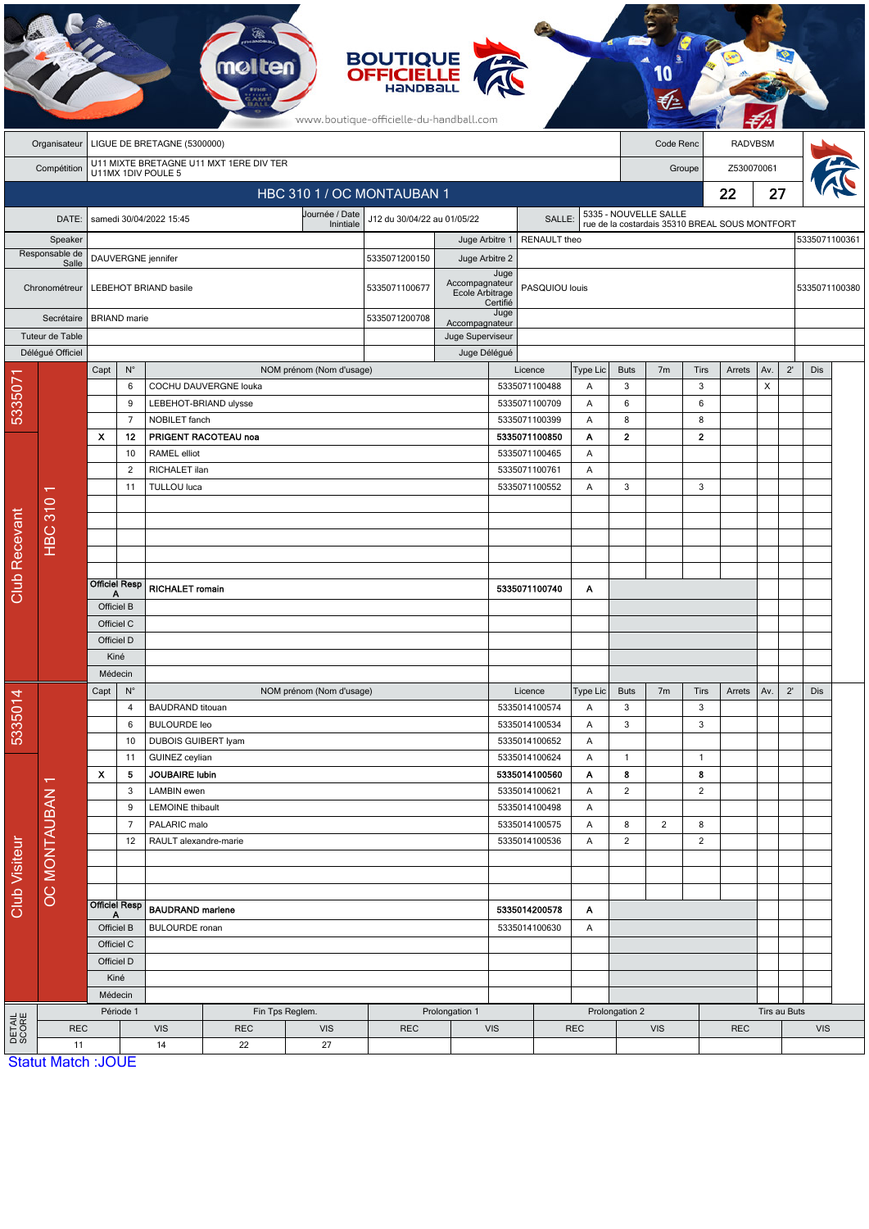|                            | <b>BOUTIQUE<br/>OFFICIELLE</b><br>www.boutique-officielle-du-handball.com    |                                      |                      |                          |                                                |                                                         |                                     |                                   |                                |                                |                      |                                                |                |                |            |                |              |               |  |  |
|----------------------------|------------------------------------------------------------------------------|--------------------------------------|----------------------|--------------------------|------------------------------------------------|---------------------------------------------------------|-------------------------------------|-----------------------------------|--------------------------------|--------------------------------|----------------------|------------------------------------------------|----------------|----------------|------------|----------------|--------------|---------------|--|--|
|                            | LIGUE DE BRETAGNE (5300000)<br>Code Renc<br>Organisateur                     |                                      |                      |                          |                                                |                                                         |                                     |                                   |                                | <b>RADVBSM</b>                 |                      |                                                |                |                |            |                |              |               |  |  |
|                            | U11 MIXTE BRETAGNE U11 MXT 1ERE DIV TER<br>Compétition<br>U11MX 1DIV POULE 5 |                                      |                      |                          |                                                |                                                         |                                     |                                   |                                |                                | Z530070061<br>Groupe |                                                |                |                |            |                |              |               |  |  |
| HBC 310 1 / OC MONTAUBAN 1 |                                                                              |                                      |                      |                          |                                                |                                                         |                                     |                                   |                                |                                |                      |                                                |                |                | 22         | 27             |              |               |  |  |
|                            |                                                                              |                                      |                      |                          |                                                | Journée / Date<br>J12 du 30/04/22 au 01/05/22<br>SALLE: |                                     |                                   |                                |                                |                      | 5335 - NOUVELLE SALLE                          |                |                |            |                |              |               |  |  |
| DATE:                      |                                                                              | samedi 30/04/2022 15:45<br>Inintiale |                      |                          |                                                |                                                         |                                     |                                   | RENAULT theo<br>Juge Arbitre 1 |                                |                      | rue de la costardais 35310 BREAL SOUS MONTFORT |                |                |            |                |              | 5335071100361 |  |  |
| Speaker<br>Responsable de  |                                                                              | DAUVERGNE jennifer                   |                      |                          |                                                | 5335071200150                                           | Juge Arbitre 2                      |                                   |                                |                                |                      |                                                |                |                |            |                |              |               |  |  |
|                            | Salle<br>Chronométreur                                                       | LEBEHOT BRIAND basile                |                      |                          |                                                |                                                         | 5335071100677                       | Accompagnateur<br>Ecole Arbitrage | Juge                           | PASQUIOU louis                 |                      |                                                |                |                |            |                |              | 5335071100380 |  |  |
| Secrétaire                 |                                                                              | <b>BRIAND</b> marie                  |                      |                          |                                                |                                                         | 5335071200708                       | Accompagnateur                    | Certifié<br>Juge               |                                |                      |                                                |                |                |            |                |              |               |  |  |
| Tuteur de Table            |                                                                              |                                      |                      |                          |                                                | Juge Superviseur                                        |                                     |                                   |                                |                                |                      |                                                |                |                |            |                |              |               |  |  |
|                            | Délégué Officiel                                                             |                                      |                      |                          |                                                |                                                         | Juge Délégué                        |                                   |                                |                                |                      |                                                |                |                |            |                |              |               |  |  |
| 533507                     |                                                                              | Capt                                 | $N^{\circ}$          |                          |                                                | NOM prénom (Nom d'usage)                                |                                     |                                   |                                | Licence                        | Type Lic             | <b>Buts</b>                                    | 7 <sub>m</sub> | Tirs           | Arrets     | Av.            | $2^{\prime}$ | Dis           |  |  |
|                            |                                                                              |                                      | 6<br>9               |                          | COCHU DAUVERGNE louka<br>LEBEHOT-BRIAND ulysse |                                                         |                                     |                                   | 5335071100488<br>5335071100709 |                                | Α<br>A               | 3<br>$\boldsymbol{6}$                          |                | 3<br>6         |            | $\pmb{\times}$ |              |               |  |  |
|                            |                                                                              |                                      | $\overline{7}$       | NOBILET fanch            |                                                |                                                         |                                     |                                   |                                | 5335071100399                  | Α                    | 8                                              |                | 8              |            |                |              |               |  |  |
|                            |                                                                              | X                                    | 12                   |                          | PRIGENT RACOTEAU noa                           |                                                         |                                     |                                   |                                | 5335071100850<br>Α             |                      | $\mathbf{2}$                                   |                | $\mathbf 2$    |            |                |              |               |  |  |
|                            |                                                                              |                                      | 10                   | <b>RAMEL</b> elliot      |                                                |                                                         |                                     |                                   |                                | 5335071100465                  | Α                    |                                                |                |                |            |                |              |               |  |  |
|                            |                                                                              | 2                                    |                      | RICHALET ilan            |                                                |                                                         |                                     |                                   |                                | 5335071100761<br>Α             |                      |                                                |                |                |            |                |              |               |  |  |
|                            |                                                                              |                                      | 11                   | TULLOU luca              |                                                |                                                         |                                     |                                   |                                | 5335071100552                  | Α                    | 3                                              |                | 3              |            |                |              |               |  |  |
|                            |                                                                              |                                      |                      |                          |                                                |                                                         |                                     |                                   |                                |                                |                      |                                                |                |                |            |                |              |               |  |  |
| <b>Club Recevant</b>       | <b>HBC 310</b>                                                               |                                      |                      |                          |                                                |                                                         |                                     |                                   |                                |                                |                      |                                                |                |                |            |                |              |               |  |  |
|                            |                                                                              |                                      |                      |                          |                                                |                                                         |                                     |                                   |                                |                                |                      |                                                |                |                |            |                |              |               |  |  |
|                            |                                                                              |                                      |                      |                          |                                                |                                                         |                                     |                                   |                                |                                |                      |                                                |                |                |            |                |              |               |  |  |
|                            |                                                                              | Α                                    | <b>Officiel Resp</b> | <b>RICHALET romain</b>   |                                                |                                                         |                                     | 5335071100740                     | Α                              |                                |                      |                                                |                |                |            |                |              |               |  |  |
|                            |                                                                              | Officiel B                           |                      |                          |                                                |                                                         |                                     |                                   |                                |                                |                      |                                                |                |                |            |                |              |               |  |  |
|                            |                                                                              | Officiel C                           |                      |                          |                                                |                                                         |                                     |                                   |                                |                                |                      |                                                |                |                |            |                |              |               |  |  |
|                            |                                                                              | Officiel D                           |                      |                          |                                                |                                                         |                                     |                                   |                                |                                |                      |                                                |                |                |            |                |              |               |  |  |
|                            |                                                                              | Kiné<br>Médecin                      |                      |                          |                                                |                                                         |                                     |                                   |                                |                                |                      |                                                |                |                |            |                |              |               |  |  |
|                            |                                                                              | $\mathsf{N}^\circ$<br>Capt           |                      | NOM prénom (Nom d'usage) |                                                |                                                         |                                     | Licence<br>Type Lic               |                                |                                | <b>Buts</b>          | 7 <sub>m</sub>                                 | Tirs           | Arrets         | Av.        | $2^{\prime}$   | Dis          |               |  |  |
|                            |                                                                              |                                      | $\overline{4}$       | <b>BAUDRAND</b> titouan  |                                                |                                                         |                                     |                                   |                                | 5335014100574                  | Α                    | $\mathbf{3}$                                   |                | 3              |            |                |              |               |  |  |
| 5335014                    |                                                                              |                                      | 6                    | <b>BULOURDE leo</b>      |                                                |                                                         |                                     |                                   | 5335014100534                  | Α                              | $\mathbf{3}$         |                                                | 3              |                |            |                |              |               |  |  |
|                            |                                                                              |                                      | 10                   | DUBOIS GUIBERT lyam      |                                                |                                                         |                                     |                                   |                                | 5335014100652                  | Α                    |                                                |                |                |            |                |              |               |  |  |
|                            |                                                                              |                                      | 11                   | GUINEZ ceylian           |                                                |                                                         |                                     |                                   |                                | 5335014100624                  | A                    | $\mathbf{1}$                                   |                | $\mathbf{1}$   |            |                |              |               |  |  |
|                            |                                                                              | $\boldsymbol{\mathsf{x}}$            | 5                    | <b>JOUBAIRE lubin</b>    |                                                |                                                         |                                     |                                   |                                | 5335014100560                  | Α                    | 8                                              |                | 8              |            |                |              |               |  |  |
|                            |                                                                              | 3<br>9                               |                      | LAMBIN ewen              | LEMOINE thibault                               |                                                         |                                     |                                   |                                | 5335014100621<br>5335014100498 | Α<br>Α               | $\overline{2}$                                 |                | $\overline{2}$ |            |                |              |               |  |  |
| <b>Club Visiteur</b>       |                                                                              | $\overline{7}$                       |                      | PALARIC malo             |                                                |                                                         |                                     |                                   |                                | 5335014100575                  | A                    | 8                                              | $\overline{2}$ | 8              |            |                |              |               |  |  |
|                            |                                                                              |                                      | 12                   | RAULT alexandre-marie    |                                                |                                                         |                                     |                                   |                                | 5335014100536                  | Α                    | $\overline{2}$                                 |                | $\sqrt{2}$     |            |                |              |               |  |  |
|                            |                                                                              |                                      |                      |                          |                                                |                                                         |                                     |                                   |                                |                                |                      |                                                |                |                |            |                |              |               |  |  |
|                            | <b>OC MONTAUBAN 1</b>                                                        |                                      |                      |                          |                                                |                                                         |                                     |                                   |                                |                                |                      |                                                |                |                |            |                |              |               |  |  |
|                            |                                                                              | <b>Officiel Resp</b>                 |                      |                          |                                                |                                                         |                                     |                                   |                                |                                |                      |                                                |                |                |            |                |              |               |  |  |
|                            |                                                                              |                                      |                      | <b>BAUDRAND marlene</b>  |                                                |                                                         | 5335014200578<br>Α<br>5335014100630 |                                   |                                |                                |                      |                                                |                |                |            |                |              |               |  |  |
|                            |                                                                              | Officiel B<br>Officiel C             |                      | <b>BULOURDE</b> ronan    |                                                |                                                         | A                                   |                                   |                                |                                |                      |                                                |                |                |            |                |              |               |  |  |
|                            |                                                                              | Officiel D                           |                      |                          |                                                |                                                         |                                     |                                   |                                |                                |                      |                                                |                |                |            |                |              |               |  |  |
|                            |                                                                              | Kiné                                 |                      |                          |                                                |                                                         |                                     |                                   |                                |                                |                      |                                                |                |                |            |                |              |               |  |  |
|                            |                                                                              |                                      | Médecin              |                          |                                                |                                                         |                                     |                                   |                                |                                |                      |                                                |                |                |            |                |              |               |  |  |
|                            |                                                                              | Période 1                            |                      |                          |                                                | Fin Tps Reglem.<br>Prolongation 1                       |                                     |                                   |                                |                                |                      |                                                | Prolongation 2 |                |            | Tirs au Buts   |              |               |  |  |
| <b>DETAIL</b><br>SCORE     |                                                                              | <b>REC</b>                           |                      | <b>VIS</b>               | <b>REC</b>                                     | <b>VIS</b>                                              | <b>REC</b>                          |                                   | <b>VIS</b>                     |                                | <b>REC</b>           | <b>VIS</b>                                     |                |                | <b>REC</b> |                |              | <b>VIS</b>    |  |  |
|                            |                                                                              | 11<br><b>Statut Match: JOUE</b>      |                      | 14                       | 22                                             | 27                                                      |                                     |                                   |                                |                                |                      |                                                |                |                |            |                |              |               |  |  |